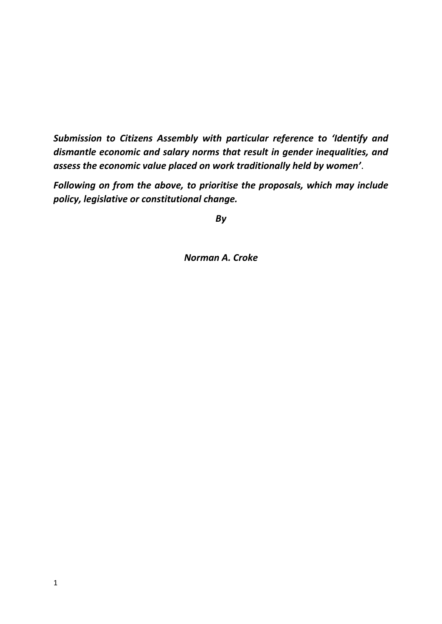*Submission to Citizens Assembly with particular reference to 'Identify and dismantle economic and salary norms that result in gender inequalities, and assess the economic value placed on work traditionally held by women'*.

*Following on from the above, to prioritise the proposals, which may include policy, legislative or constitutional change.*

*By*

*Norman A. Croke*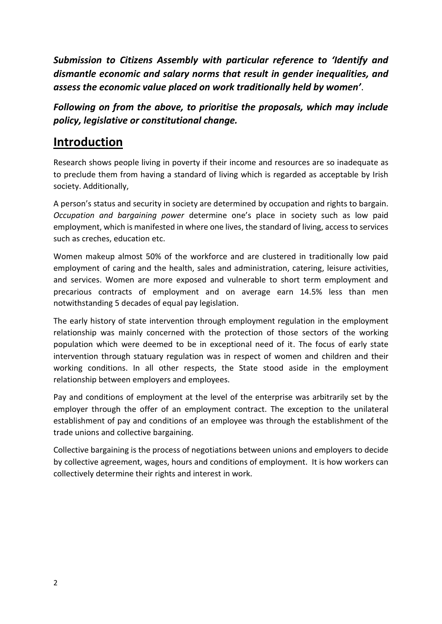*Submission to Citizens Assembly with particular reference to 'Identify and dismantle economic and salary norms that result in gender inequalities, and assess the economic value placed on work traditionally held by women'*.

*Following on from the above, to prioritise the proposals, which may include policy, legislative or constitutional change.*

# **Introduction**

Research shows people living in poverty if their income and resources are so inadequate as to preclude them from having a standard of living which is regarded as acceptable by Irish society. Additionally,

A person's status and security in society are determined by occupation and rights to bargain. *Occupation and bargaining power* determine one's place in society such as low paid employment, which is manifested in where one lives, the standard of living, access to services such as creches, education etc.

Women makeup almost 50% of the workforce and are clustered in traditionally low paid employment of caring and the health, sales and administration, catering, leisure activities, and services. Women are more exposed and vulnerable to short term employment and precarious contracts of employment and on average earn 14.5% less than men notwithstanding 5 decades of equal pay legislation.

The early history of state intervention through employment regulation in the employment relationship was mainly concerned with the protection of those sectors of the working population which were deemed to be in exceptional need of it. The focus of early state intervention through statuary regulation was in respect of women and children and their working conditions. In all other respects, the State stood aside in the employment relationship between employers and employees.

Pay and conditions of employment at the level of the enterprise was arbitrarily set by the employer through the offer of an employment contract. The exception to the unilateral establishment of pay and conditions of an employee was through the establishment of the trade unions and collective bargaining.

Collective bargaining is the process of negotiations between unions and employers to decide by collective agreement, wages, hours and conditions of employment. It is how workers can collectively determine their rights and interest in work.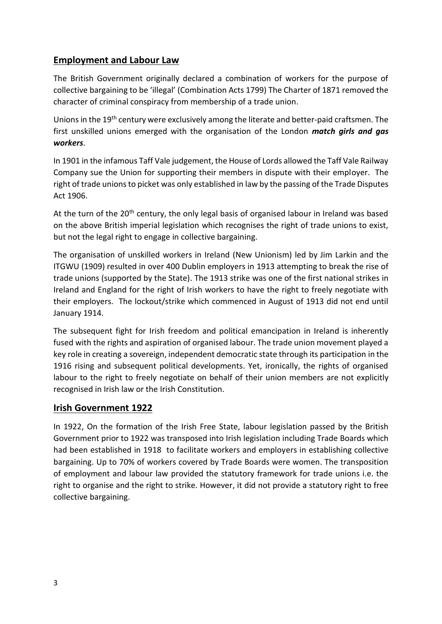# **Employment and Labour Law**

The British Government originally declared a combination of workers for the purpose of collective bargaining to be 'illegal' (Combination Acts 1799) The Charter of 1871 removed the character of criminal conspiracy from membership of a trade union.

Unions in the 19<sup>th</sup> century were exclusively among the literate and better-paid craftsmen. The first unskilled unions emerged with the organisation of the London *match girls and gas workers*.

In 1901 in the infamous Taff Vale judgement, the House of Lords allowed the Taff Vale Railway Company sue the Union for supporting their members in dispute with their employer. The right of trade unions to picket was only established in law by the passing of the Trade Disputes Act 1906.

At the turn of the 20<sup>th</sup> century, the only legal basis of organised labour in Ireland was based on the above British imperial legislation which recognises the right of trade unions to exist, but not the legal right to engage in collective bargaining.

The organisation of unskilled workers in Ireland (New Unionism) led by Jim Larkin and the ITGWU (1909) resulted in over 400 Dublin employers in 1913 attempting to break the rise of trade unions (supported by the State). The 1913 strike was one of the first national strikes in Ireland and England for the right of Irish workers to have the right to freely negotiate with their employers. The lockout/strike which commenced in August of 1913 did not end until January 1914.

The subsequent fight for Irish freedom and political emancipation in Ireland is inherently fused with the rights and aspiration of organised labour. The trade union movement played a key role in creating a sovereign, independent democratic state through its participation in the 1916 rising and subsequent political developments. Yet, ironically, the rights of organised labour to the right to freely negotiate on behalf of their union members are not explicitly recognised in Irish law or the Irish Constitution.

### **Irish Government 1922**

In 1922, On the formation of the Irish Free State, labour legislation passed by the British Government prior to 1922 was transposed into Irish legislation including Trade Boards which had been established in 1918 to facilitate workers and employers in establishing collective bargaining. Up to 70% of workers covered by Trade Boards were women. The transposition of employment and labour law provided the statutory framework for trade unions i.e. the right to organise and the right to strike. However, it did not provide a statutory right to free collective bargaining.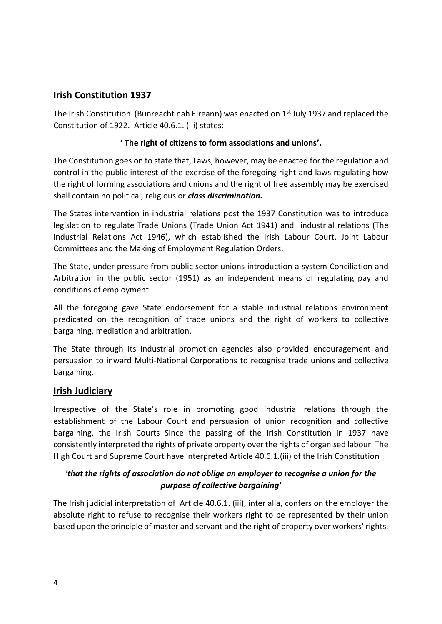# **Irish Constitution 1937**

The Irish Constitution (Bunreacht nah Eireann) was enacted on  $1<sup>st</sup>$  July 1937 and replaced the Constitution of 1922. Article 40.6.1. (iii) states:

#### **' The right of citizens to form associations and unions'.**

The Constitution goes on to state that, Laws, however, may be enacted for the regulation and control in the public interest of the exercise of the foregoing right and laws regulating how the right of forming associations and unions and the right of free assembly may be exercised shall contain no political, religious or *class discrimination.*

The States intervention in industrial relations post the 1937 Constitution was to introduce legislation to regulate Trade Unions (Trade Union Act 1941) and industrial relations (The Industrial Relations Act 1946), which established the Irish Labour Court, Joint Labour Committees and the Making of Employment Regulation Orders.

The State, under pressure from public sector unions introduction a system Conciliation and Arbitration in the public sector (1951) as an independent means of regulating pay and conditions of employment.

All the foregoing gave State endorsement for a stable industrial relations environment predicated on the recognition of trade unions and the right of workers to collective bargaining, mediation and arbitration.

The State through its industrial promotion agencies also provided encouragement and persuasion to inward Multi-National Corporations to recognise trade unions and collective bargaining.

### **Irish Judiciary**

Irrespective of the State's role in promoting good industrial relations through the establishment of the Labour Court and persuasion of union recognition and collective bargaining, the Irish Courts Since the passing of the Irish Constitution in 1937 have consistently interpreted the rights of private property over the rights of organised labour. The High Court and Supreme Court have interpreted Article 40.6.1.(iii) of the Irish Constitution

## *'that the rights of association do not oblige an employer to recognise a union for the purpose of collective bargaining'*

The Irish judicial interpretation of Article 40.6.1. (iii), inter alia, confers on the employer the absolute right to refuse to recognise their workers right to be represented by their union based upon the principle of master and servant and the right of property over workers' rights.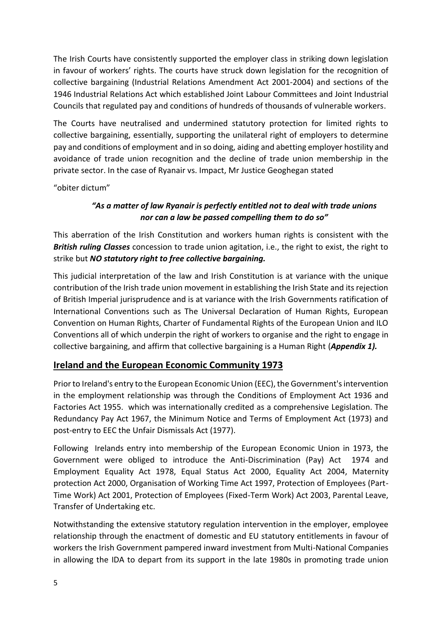The Irish Courts have consistently supported the employer class in striking down legislation in favour of workers' rights. The courts have struck down legislation for the recognition of collective bargaining (Industrial Relations Amendment Act 2001-2004) and sections of the 1946 Industrial Relations Act which established Joint Labour Committees and Joint Industrial Councils that regulated pay and conditions of hundreds of thousands of vulnerable workers.

The Courts have neutralised and undermined statutory protection for limited rights to collective bargaining, essentially, supporting the unilateral right of employers to determine pay and conditions of employment and in so doing, aiding and abetting employer hostility and avoidance of trade union recognition and the decline of trade union membership in the private sector. In the case of Ryanair vs. Impact, Mr Justice Geoghegan stated

"obiter dictum"

### *"As a matter of law Ryanair is perfectly entitled not to deal with trade unions nor can a law be passed compelling them to do so"*

This aberration of the Irish Constitution and workers human rights is consistent with the *British ruling Classes* concession to trade union agitation, i.e., the right to exist, the right to strike but *NO statutory right to free collective bargaining.* 

This judicial interpretation of the law and Irish Constitution is at variance with the unique contribution of the Irish trade union movement in establishing the Irish State and its rejection of British Imperial jurisprudence and is at variance with the Irish Governments ratification of International Conventions such as The Universal Declaration of Human Rights, European Convention on Human Rights, Charter of Fundamental Rights of the European Union and ILO Conventions all of which underpin the right of workers to organise and the right to engage in collective bargaining, and affirm that collective bargaining is a Human Right (*Appendix 1).*

# **Ireland and the European Economic Community 1973**

Prior to Ireland's entry to the European Economic Union (EEC), the Government's intervention in the employment relationship was through the Conditions of Employment Act 1936 and Factories Act 1955. which was internationally credited as a comprehensive Legislation. The Redundancy Pay Act 1967, the Minimum Notice and Terms of Employment Act (1973) and post-entry to EEC the Unfair Dismissals Act (1977).

Following Irelands entry into membership of the European Economic Union in 1973, the Government were obliged to introduce the Anti-Discrimination (Pay) Act 1974 and Employment Equality Act 1978, Equal Status Act 2000, Equality Act 2004, Maternity protection Act 2000, Organisation of Working Time Act 1997, Protection of Employees (Part-Time Work) Act 2001, Protection of Employees (Fixed-Term Work) Act 2003, Parental Leave, Transfer of Undertaking etc.

Notwithstanding the extensive statutory regulation intervention in the employer, employee relationship through the enactment of domestic and EU statutory entitlements in favour of workers the Irish Government pampered inward investment from Multi-National Companies in allowing the IDA to depart from its support in the late 1980s in promoting trade union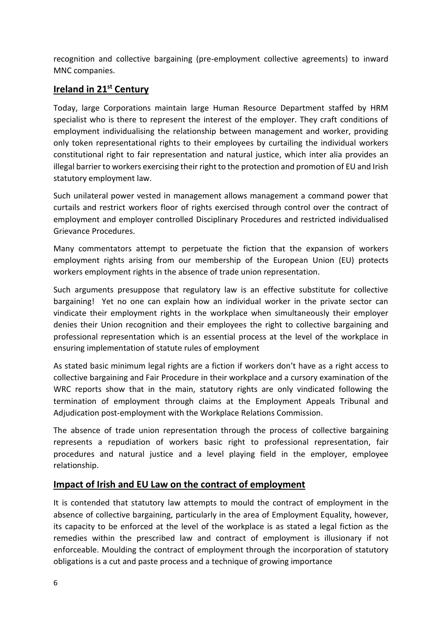recognition and collective bargaining (pre-employment collective agreements) to inward MNC companies.

# **Ireland in 21st Century**

Today, large Corporations maintain large Human Resource Department staffed by HRM specialist who is there to represent the interest of the employer. They craft conditions of employment individualising the relationship between management and worker, providing only token representational rights to their employees by curtailing the individual workers constitutional right to fair representation and natural justice, which inter alia provides an illegal barrier to workers exercising their right to the protection and promotion of EU and Irish statutory employment law.

Such unilateral power vested in management allows management a command power that curtails and restrict workers floor of rights exercised through control over the contract of employment and employer controlled Disciplinary Procedures and restricted individualised Grievance Procedures.

Many commentators attempt to perpetuate the fiction that the expansion of workers employment rights arising from our membership of the European Union (EU) protects workers employment rights in the absence of trade union representation.

Such arguments presuppose that regulatory law is an effective substitute for collective bargaining! Yet no one can explain how an individual worker in the private sector can vindicate their employment rights in the workplace when simultaneously their employer denies their Union recognition and their employees the right to collective bargaining and professional representation which is an essential process at the level of the workplace in ensuring implementation of statute rules of employment

As stated basic minimum legal rights are a fiction if workers don't have as a right access to collective bargaining and Fair Procedure in their workplace and a cursory examination of the WRC reports show that in the main, statutory rights are only vindicated following the termination of employment through claims at the Employment Appeals Tribunal and Adjudication post-employment with the Workplace Relations Commission.

The absence of trade union representation through the process of collective bargaining represents a repudiation of workers basic right to professional representation, fair procedures and natural justice and a level playing field in the employer, employee relationship.

### **Impact of Irish and EU Law on the contract of employment**

It is contended that statutory law attempts to mould the contract of employment in the absence of collective bargaining, particularly in the area of Employment Equality, however, its capacity to be enforced at the level of the workplace is as stated a legal fiction as the remedies within the prescribed law and contract of employment is illusionary if not enforceable. Moulding the contract of employment through the incorporation of statutory obligations is a cut and paste process and a technique of growing importance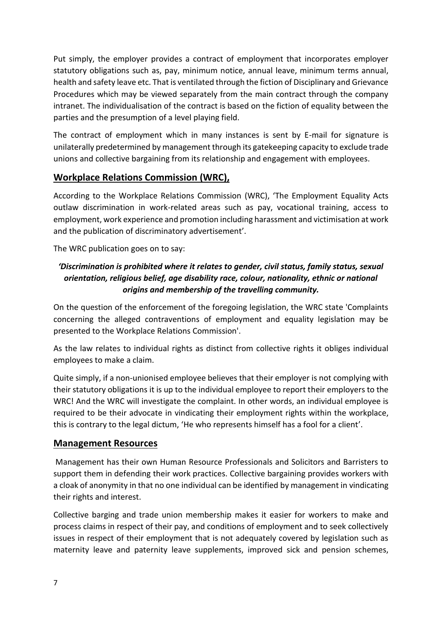Put simply, the employer provides a contract of employment that incorporates employer statutory obligations such as, pay, minimum notice, annual leave, minimum terms annual, health and safety leave etc. That is ventilated through the fiction of Disciplinary and Grievance Procedures which may be viewed separately from the main contract through the company intranet. The individualisation of the contract is based on the fiction of equality between the parties and the presumption of a level playing field.

The contract of employment which in many instances is sent by E-mail for signature is unilaterally predetermined by management through its gatekeeping capacity to exclude trade unions and collective bargaining from its relationship and engagement with employees.

# **Workplace Relations Commission (WRC),**

According to the Workplace Relations Commission (WRC), 'The Employment Equality Acts outlaw discrimination in work-related areas such as pay, vocational training, access to employment, work experience and promotion including harassment and victimisation at work and the publication of discriminatory advertisement'.

The WRC publication goes on to say:

# *'Discrimination is prohibited where it relates to gender, civil status, family status, sexual orientation, religious belief, age disability race, colour, nationality, ethnic or national origins and membership of the travelling community.*

On the question of the enforcement of the foregoing legislation, the WRC state 'Complaints concerning the alleged contraventions of employment and equality legislation may be presented to the Workplace Relations Commission'.

As the law relates to individual rights as distinct from collective rights it obliges individual employees to make a claim.

Quite simply, if a non-unionised employee believes that their employer is not complying with their statutory obligations it is up to the individual employee to report their employers to the WRC! And the WRC will investigate the complaint. In other words, an individual employee is required to be their advocate in vindicating their employment rights within the workplace, this is contrary to the legal dictum, 'He who represents himself has a fool for a client'.

### **Management Resources**

Management has their own Human Resource Professionals and Solicitors and Barristers to support them in defending their work practices. Collective bargaining provides workers with a cloak of anonymity in that no one individual can be identified by management in vindicating their rights and interest.

Collective barging and trade union membership makes it easier for workers to make and process claims in respect of their pay, and conditions of employment and to seek collectively issues in respect of their employment that is not adequately covered by legislation such as maternity leave and paternity leave supplements, improved sick and pension schemes,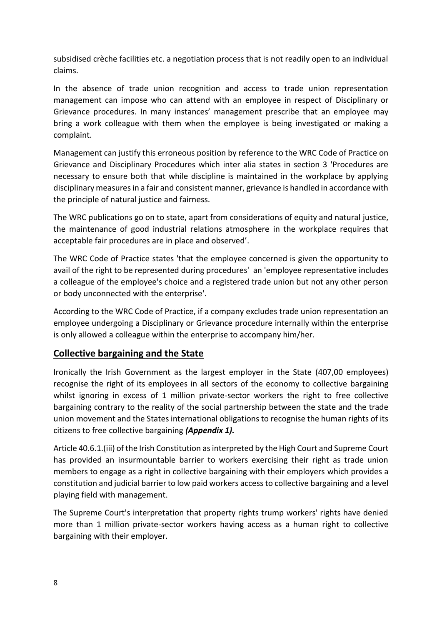subsidised crèche facilities etc. a negotiation process that is not readily open to an individual claims.

In the absence of trade union recognition and access to trade union representation management can impose who can attend with an employee in respect of Disciplinary or Grievance procedures. In many instances' management prescribe that an employee may bring a work colleague with them when the employee is being investigated or making a complaint.

Management can justify this erroneous position by reference to the WRC Code of Practice on Grievance and Disciplinary Procedures which inter alia states in section 3 'Procedures are necessary to ensure both that while discipline is maintained in the workplace by applying disciplinary measures in a fair and consistent manner, grievance is handled in accordance with the principle of natural justice and fairness.

The WRC publications go on to state, apart from considerations of equity and natural justice, the maintenance of good industrial relations atmosphere in the workplace requires that acceptable fair procedures are in place and observed'.

The WRC Code of Practice states 'that the employee concerned is given the opportunity to avail of the right to be represented during procedures' an 'employee representative includes a colleague of the employee's choice and a registered trade union but not any other person or body unconnected with the enterprise'.

According to the WRC Code of Practice, if a company excludes trade union representation an employee undergoing a Disciplinary or Grievance procedure internally within the enterprise is only allowed a colleague within the enterprise to accompany him/her.

# **Collective bargaining and the State**

Ironically the Irish Government as the largest employer in the State (407,00 employees) recognise the right of its employees in all sectors of the economy to collective bargaining whilst ignoring in excess of 1 million private-sector workers the right to free collective bargaining contrary to the reality of the social partnership between the state and the trade union movement and the States international obligations to recognise the human rights of its citizens to free collective bargaining *(Appendix 1).*

Article 40.6.1.(iii) of the Irish Constitution as interpreted by the High Court and Supreme Court has provided an insurmountable barrier to workers exercising their right as trade union members to engage as a right in collective bargaining with their employers which provides a constitution and judicial barrier to low paid workers access to collective bargaining and a level playing field with management.

The Supreme Court's interpretation that property rights trump workers' rights have denied more than 1 million private-sector workers having access as a human right to collective bargaining with their employer.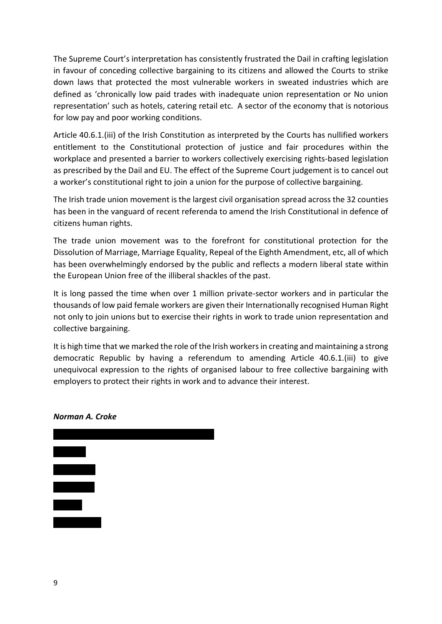The Supreme Court's interpretation has consistently frustrated the Dail in crafting legislation in favour of conceding collective bargaining to its citizens and allowed the Courts to strike down laws that protected the most vulnerable workers in sweated industries which are defined as 'chronically low paid trades with inadequate union representation or No union representation' such as hotels, catering retail etc. A sector of the economy that is notorious for low pay and poor working conditions.

Article 40.6.1.(iii) of the Irish Constitution as interpreted by the Courts has nullified workers entitlement to the Constitutional protection of justice and fair procedures within the workplace and presented a barrier to workers collectively exercising rights-based legislation as prescribed by the Dail and EU. The effect of the Supreme Court judgement is to cancel out a worker's constitutional right to join a union for the purpose of collective bargaining.

The Irish trade union movement is the largest civil organisation spread across the 32 counties has been in the vanguard of recent referenda to amend the Irish Constitutional in defence of citizens human rights.

The trade union movement was to the forefront for constitutional protection for the Dissolution of Marriage, Marriage Equality, Repeal of the Eighth Amendment, etc, all of which has been overwhelmingly endorsed by the public and reflects a modern liberal state within the European Union free of the illiberal shackles of the past.

It is long passed the time when over 1 million private-sector workers and in particular the thousands of low paid female workers are given their Internationally recognised Human Right not only to join unions but to exercise their rights in work to trade union representation and collective bargaining.

It is high time that we marked the role of the Irish workers in creating and maintaining a strong democratic Republic by having a referendum to amending Article 40.6.1.(iii) to give unequivocal expression to the rights of organised labour to free collective bargaining with employers to protect their rights in work and to advance their interest.



#### *Norman A. Croke*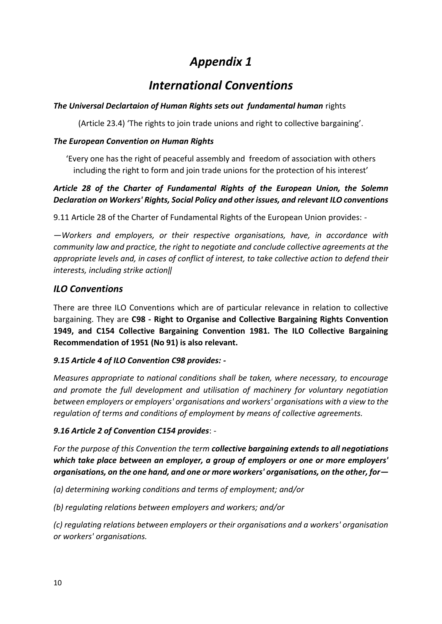# *Appendix 1*

# *International Conventions*

#### *The Universal Declartaion of Human Rights sets out fundamental human* rights

(Article 23.4) 'The rights to join trade unions and right to collective bargaining'.

#### *The European Convention on Human Rights*

'Every one has the right of peaceful assembly and freedom of association with others including the right to form and join trade unions for the protection of his interest'

## *Article 28 of the Charter of Fundamental Rights of the European Union, the Solemn Declaration on Workers' Rights, Social Policy and other issues, and relevant ILO conventions*

9.11 Article 28 of the Charter of Fundamental Rights of the European Union provides: -

*―Workers and employers, or their respective organisations, have, in accordance with community law and practice, the right to negotiate and conclude collective agreements at the appropriate levels and, in cases of conflict of interest, to take collective action to defend their interests, including strike action‖* 

## *ILO Conventions*

There are three ILO Conventions which are of particular relevance in relation to collective bargaining. They are **C98 - Right to Organise and Collective Bargaining Rights Convention 1949, and C154 Collective Bargaining Convention 1981. The ILO Collective Bargaining Recommendation of 1951 (No 91) is also relevant.** 

### *9.15 Article 4 of ILO Convention C98 provides: -*

*Measures appropriate to national conditions shall be taken, where necessary, to encourage and promote the full development and utilisation of machinery for voluntary negotiation between employers or employers' organisations and workers' organisations with a view to the regulation of terms and conditions of employment by means of collective agreements.* 

### *9.16 Article 2 of Convention C154 provides*: -

*For the purpose of this Convention the term collective bargaining extends to all negotiations which take place between an employer, a group of employers or one or more employers' organisations, on the one hand, and one or more workers' organisations, on the other, for—*

*(a) determining working conditions and terms of employment; and/or* 

*(b) regulating relations between employers and workers; and/or* 

*(c) regulating relations between employers or their organisations and a workers' organisation or workers' organisations.*